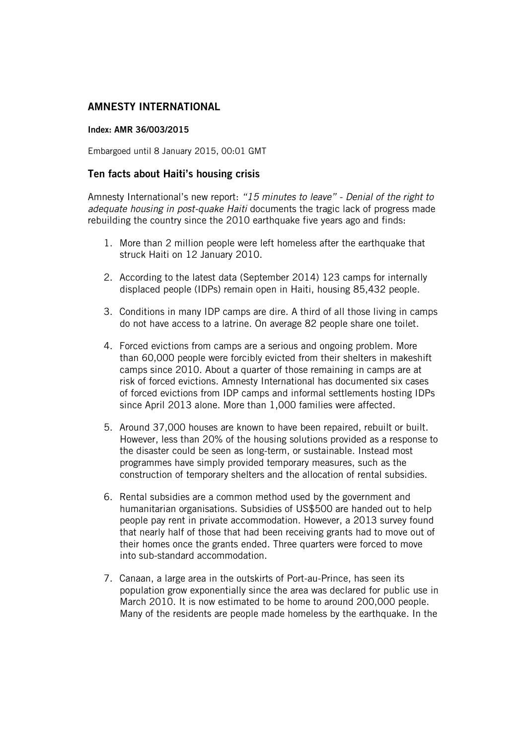## **AMNESTY INTERNATIONAL**

## **Index: AMR 36/003/2015**

Embargoed until 8 January 2015, 00:01 GMT

## **Ten facts about Haiti's housing crisis**

Amnesty International's new report: *"15 minutes to leave" - Denial of the right to adequate housing in post-quake Haiti* documents the tragic lack of progress made rebuilding the country since the 2010 earthquake five years ago and finds:

- 1. More than 2 million people were left homeless after the earthquake that struck Haiti on 12 January 2010.
- 2. According to the latest data (September 2014) 123 camps for internally displaced people (IDPs) remain open in Haiti, housing 85,432 people.
- 3. Conditions in many IDP camps are dire. A third of all those living in camps do not have access to a latrine. On average 82 people share one toilet.
- 4. Forced evictions from camps are a serious and ongoing problem. More than 60,000 people were forcibly evicted from their shelters in makeshift camps since 2010. About a quarter of those remaining in camps are at risk of forced evictions. Amnesty International has documented six cases of forced evictions from IDP camps and informal settlements hosting IDPs since April 2013 alone. More than 1,000 families were affected.
- 5. Around 37,000 houses are known to have been repaired, rebuilt or built. However, less than 20% of the housing solutions provided as a response to the disaster could be seen as long-term, or sustainable. Instead most programmes have simply provided temporary measures, such as the construction of temporary shelters and the allocation of rental subsidies.
- 6. Rental subsidies are a common method used by the government and humanitarian organisations. Subsidies of US\$500 are handed out to help people pay rent in private accommodation. However, a 2013 survey found that nearly half of those that had been receiving grants had to move out of their homes once the grants ended. Three quarters were forced to move into sub-standard accommodation.
- 7. Canaan, a large area in the outskirts of Port-au-Prince, has seen its population grow exponentially since the area was declared for public use in March 2010. It is now estimated to be home to around 200,000 people. Many of the residents are people made homeless by the earthquake. In the